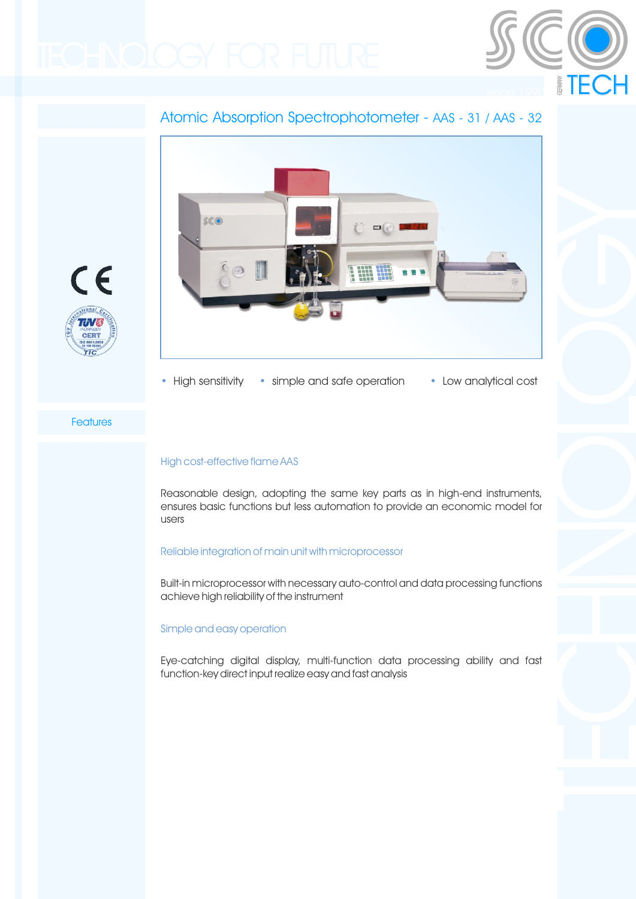

# Atomic Absorption Spectrophotometer - AAS - 31 / AAS - 32





### **Features**

**CER** 

 $\epsilon$ 

## High cost-effective flame AAS

Reasonable design, adopting the same key parts as in high-end instruments, ensures basic functions but less automation to provide an economic model for users

### Reliable integration of main unit with microprocessor

Built-in microprocessor with necessary auto-control and data processing functions achieve high reliability of the instrument

### Simple and easy operation

Eye-catching digital display, multi-function data processing ability and fast function-key direct input realize easy and fast analysis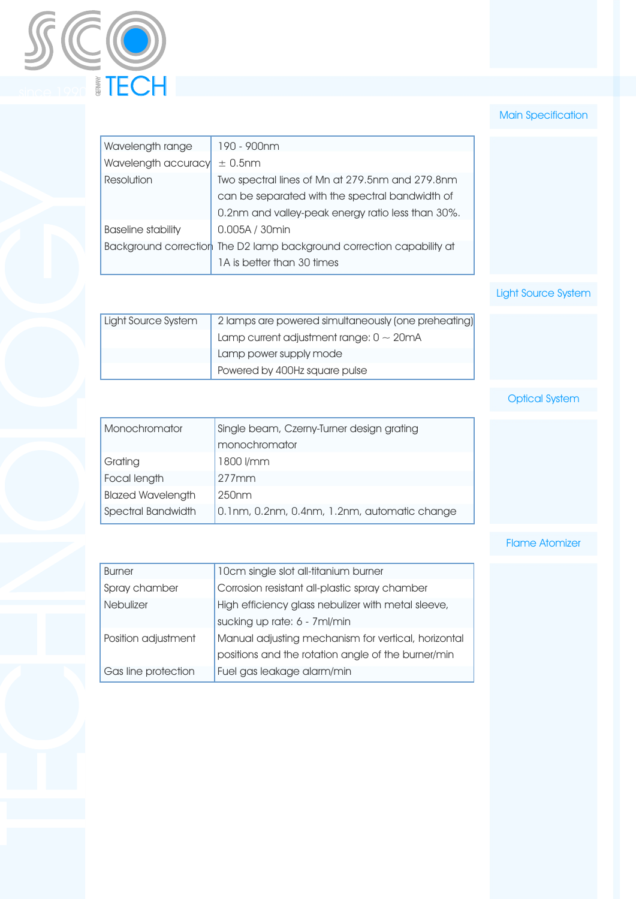

## **Main Specification**

| Wavelength range          | 190 - 900nm                                                           |
|---------------------------|-----------------------------------------------------------------------|
| Wavelength accuracy       | $\pm$ 0.5nm                                                           |
| Resolution                | Two spectral lines of Mn at 279.5nm and 279.8nm                       |
|                           | can be separated with the spectral bandwidth of                       |
|                           | 0.2nm and valley-peak energy ratio less than 30%.                     |
| <b>Baseline stability</b> | 0.005A / 30min                                                        |
|                           | Background correction The D2 lamp background correction capability at |
|                           | 1A is better than 30 times                                            |
|                           |                                                                       |

# Light Source System

| Light Source System | 2 lamps are powered simultaneously (one preheating) |
|---------------------|-----------------------------------------------------|
|                     | Lamp current adjustment range: $0 \sim 20$ mA       |
|                     | Lamp power supply mode                              |
|                     | Powered by 400Hz square pulse                       |

# Optical System

| Monochromator            | Single beam, Czerny-Turner design grating<br>monochromator |  |  |
|--------------------------|------------------------------------------------------------|--|--|
| Grating                  | 1800 l/mm                                                  |  |  |
| Focal length             | $277$ mm                                                   |  |  |
| <b>Blazed Wavelength</b> | 250 <sub>nm</sub>                                          |  |  |
| Spectral Bandwidth       | 0.1nm, 0.2nm, 0.4nm, 1.2nm, automatic change               |  |  |

## Flame Atomizer

| <b>Burner</b>       | 10cm single slot all-titanium burner                                                                      |
|---------------------|-----------------------------------------------------------------------------------------------------------|
| Spray chamber       | Corrosion resistant all-plastic spray chamber                                                             |
| <b>Nebulizer</b>    | High efficiency glass nebulizer with metal sleeve,<br>sucking up rate: 6 - 7ml/min                        |
| Position adjustment | Manual adjusting mechanism for vertical, horizontal<br>positions and the rotation angle of the burner/min |
| Gas line protection | Fuel gas leakage alarm/min                                                                                |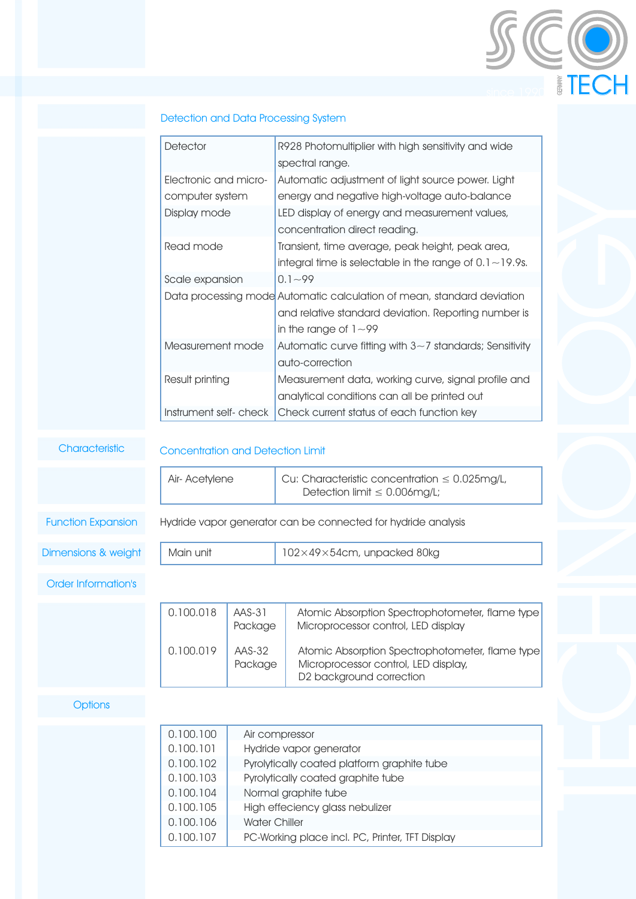| Detector              | R928 Photomultiplier with high sensitivity and wide                    |
|-----------------------|------------------------------------------------------------------------|
|                       | spectral range.                                                        |
| Electronic and micro- | Automatic adjustment of light source power. Light                      |
| computer system       | energy and negative high-voltage auto-balance                          |
| Display mode          | LED display of energy and measurement values,                          |
|                       | concentration direct reading.                                          |
| Read mode             | Transient, time average, peak height, peak area,                       |
|                       | integral time is selectable in the range of $0.1 \sim 19.9$ s.         |
| Scale expansion       | $0.1 - 99$                                                             |
|                       | Data processing mode Automatic calculation of mean, standard deviation |
|                       | and relative standard deviation. Reporting number is                   |
|                       | in the range of $1 \sim 99$                                            |
| Measurement mode      | Automatic curve fitting with $3\sim$ 7 standards; Sensitivity          |
|                       | auto-correction                                                        |
| Result printing       | Measurement data, working curve, signal profile and                    |
|                       | analytical conditions can all be printed out                           |
| Instrument self-check | Check current status of each function key                              |

Since 1990

**Characteristic** 

#### Concentration and Detection Limit

|                            | Air- Acetylene                                                                          |                                                                                                                                                                                                                                                                      | Cu: Characteristic concentration $\leq 0.025$ mg/L,<br>Detection limit $\leq 0.006$ mg/L;                           |  |  |
|----------------------------|-----------------------------------------------------------------------------------------|----------------------------------------------------------------------------------------------------------------------------------------------------------------------------------------------------------------------------------------------------------------------|---------------------------------------------------------------------------------------------------------------------|--|--|
| <b>Function Expansion</b>  |                                                                                         |                                                                                                                                                                                                                                                                      | Hydride vapor generator can be connected for hydride analysis                                                       |  |  |
| Dimensions & weight        | Main unit                                                                               |                                                                                                                                                                                                                                                                      | 102×49×54cm, unpacked 80kg                                                                                          |  |  |
| <b>Order Information's</b> |                                                                                         |                                                                                                                                                                                                                                                                      |                                                                                                                     |  |  |
|                            | 0.100.018                                                                               | AAS-31<br>Package                                                                                                                                                                                                                                                    | Atomic Absorption Spectrophotometer, flame type<br>Microprocessor control, LED display                              |  |  |
|                            | 0.100.019                                                                               | AAS-32<br>Package                                                                                                                                                                                                                                                    | Atomic Absorption Spectrophotometer, flame type<br>Microprocessor control, LED display,<br>D2 background correction |  |  |
| <b>Options</b>             |                                                                                         |                                                                                                                                                                                                                                                                      |                                                                                                                     |  |  |
|                            | 0.100.100<br>0.100.101<br>0.100.102<br>0.100.103<br>0.100.104<br>0.100.105<br>0.100.106 | Air compressor<br>Hydride vapor generator<br>Pyrolytically coated platform graphite tube<br>Pyrolytically coated graphite tube<br>Normal graphite tube<br>High effeciency glass nebulizer<br><b>Water Chiller</b><br>PC-Working place incl. PC, Printer, TFT Display |                                                                                                                     |  |  |
|                            | 0.100.107                                                                               |                                                                                                                                                                                                                                                                      |                                                                                                                     |  |  |